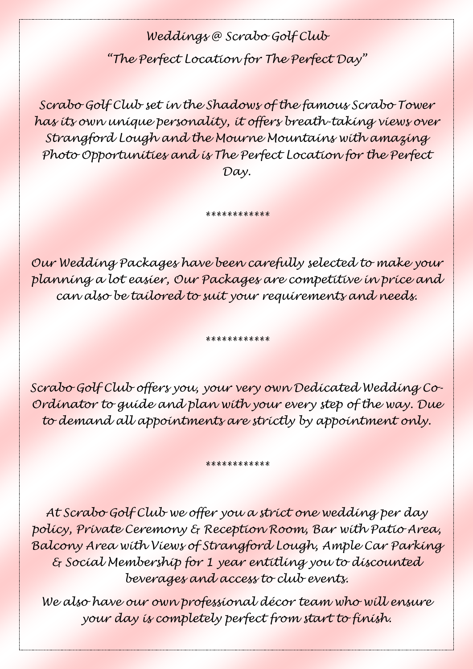*Weddings @ Scrabo Golf Club "The Perfect Location for The Perfect Day"*

*Scrabo Golf Club set in the Shadows of the famous Scrabo Tower has its own unique personality, it offers breath-taking views over Strangford Lough and the Mourne Mountains with amazing Photo Opportunities and is The Perfect Location for the Perfect Day.*

*\*\*\*\*\*\*\*\*\*\*\*\**

*Our Wedding Packages have been carefully selected to make your planning a lot easier, Our Packages are competitive in price and can also be tailored to suit your requirements and needs.*

*\*\*\*\*\*\*\*\*\*\*\*\**

*Scrabo Golf Club offers you, your very own Dedicated Wedding Co-Ordinator to guide and plan with your every step of the way. Due to demand all appointments are strictly by appointment only.*

*\*\*\*\*\*\*\*\*\*\*\*\**

*At Scrabo Golf Club we offer you a strict one wedding per day policy, Private Ceremony & Reception Room, Bar with Patio Area, Balcony Area with Views of Strangford Lough, Ample Car Parking & Social Membership for 1 year entitling you to discounted beverages and access to club events.*

*We also have our own professional décor team who will ensure your day is completely perfect from start to finish.*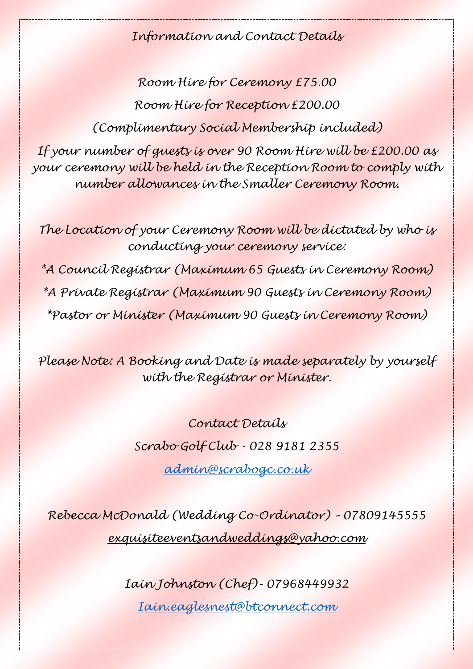## *Information and Contact Details*

*Room Hire for Ceremony £75.00 Room Hire for Reception £200.00 (Complimentary Social Membership included)*

*If your number of guests is over 90 Room Hire will be £200.00 as your ceremony will be held in the Reception Room to comply with number allowances in the Smaller Ceremony Room.*

*The Location of your Ceremony Room will be dictated by who is conducting your ceremony service:* 

*\*A Council Registrar (Maximum 65 Guests in Ceremony Room) \*A Private Registrar (Maximum 90 Guests in Ceremony Room) \*Pastor or Minister (Maximum 90 Guests in Ceremony Room)*

*Please Note: A Booking and Date is made separately by yourself with the Registrar or Minister.* 

> *Contact Details Scrabo Golf Club - 028 9181 2355 [admin@scrabogc.co.uk](mailto:admin@scrabogc.co.uk)*

*Rebecca McDonald (Wedding Co-Ordinator) – 07809145555 exquisiteeventsandweddings@yahoo.com*

> *Iain Johnston (Chef)- 07968449932 [Iain.eaglesnest@btconnect.com](mailto:Iain.eaglesnest@btconnect.com)*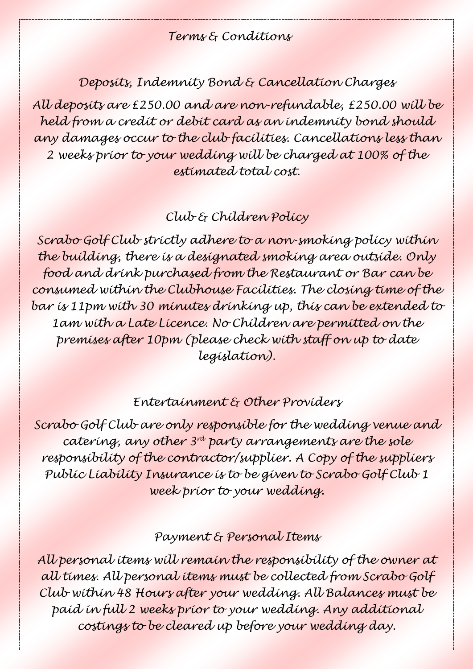## *Terms & Conditions*

# *Deposits, Indemnity Bond & Cancellation Charges*

*All deposits are £250.00 and are non-refundable, £250.00 will be held from a credit or debit card as an indemnity bond should any damages occur to the club facilities. Cancellations less than 2 weeks prior to your wedding will be charged at 100% of the estimated total cost.*

## *Club & Children Policy*

*Scrabo Golf Club strictly adhere to a non-smoking policy within the building, there is a designated smoking area outside. Only food and drink purchased from the Restaurant or Bar can be consumed within the Clubhouse Facilities. The closing time of the bar is 11pm with 30 minutes drinking up, this can be extended to 1am with a Late Licence. No Children are permitted on the premises after 10pm (please check with staff on up to date legislation).* 

## *Entertainment & Other Providers*

*Scrabo Golf Club are only responsible for the wedding venue and catering, any other 3rd party arrangements are the sole responsibility of the contractor/supplier. A Copy of the suppliers Public Liability Insurance is to be given to Scrabo Golf Club 1 week prior to your wedding.*

# *Payment & Personal Items*

*All personal items will remain the responsibility of the owner at all times. All personal items must be collected from Scrabo Golf Club within 48 Hours after your wedding. All Balances must be paid in full 2 weeks prior to your wedding. Any additional costings to be cleared up before your wedding day.*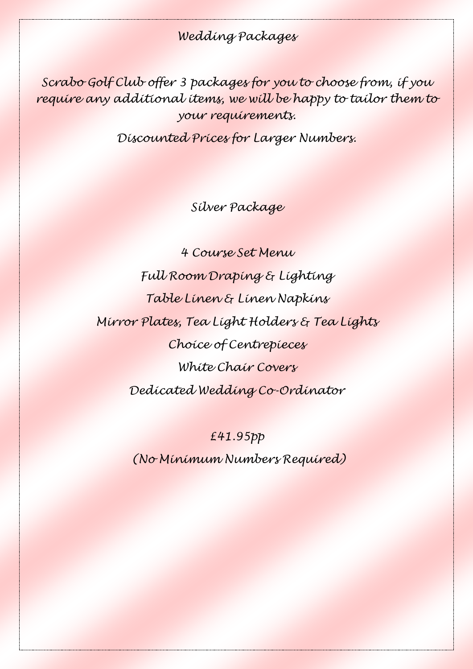## *Wedding Packages*

*Scrabo Golf Club offer 3 packages for you to choose from, if you require any additional items, we will be happy to tailor them to your requirements.* 

*Discounted Prices for Larger Numbers.*

*Silver Package*

*4 Course Set Menu Full Room Draping & Lighting Table Linen & Linen Napkins Mirror Plates, Tea Light Holders & Tea Lights Choice of Centrepieces White Chair Covers Dedicated Wedding Co-Ordinator*

> *£41.95pp (No Minimum Numbers Required)*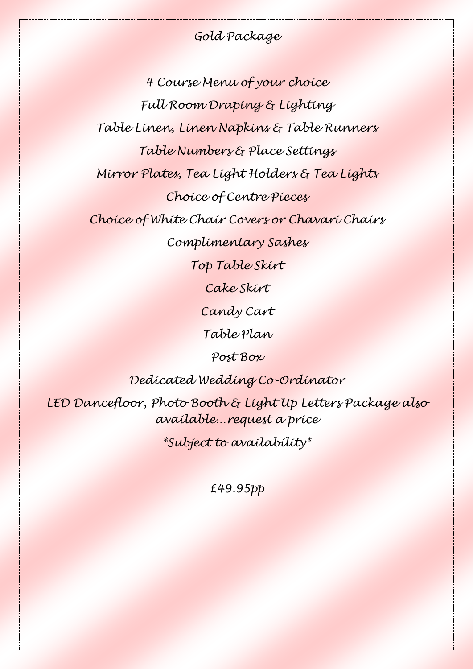## *Gold Package*

*4 Course Menu of your choice Full Room Draping & Lighting Table Linen, Linen Napkins & Table Runners Table Numbers & Place Settings Mirror Plates, Tea Light Holders & Tea Lights Choice of Centre Pieces Choice of White Chair Covers or Chavari Chairs Complimentary Sashes Top Table Skirt Cake Skirt Candy Cart Table Plan Post Box Dedicated Wedding Co-Ordinator*

*LED Dancefloor, Photo Booth & Light Up Letters Package also available…request a price*

*\*Subject to availability\**

*£49.95pp*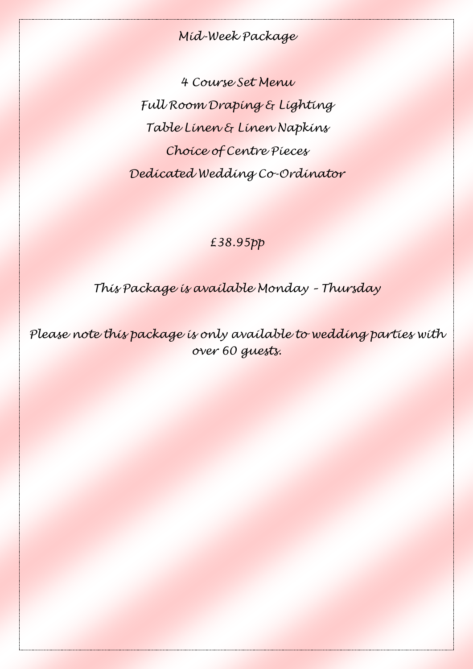# *Mid-Week Package*

*4 Course Set Menu Full Room Draping & Lighting Table Linen & Linen Napkins Choice of Centre Pieces Dedicated Wedding Co-Ordinator*

# *£38.95pp*

*This Package is available Monday – Thursday*

*Please note this package is only available to wedding parties with over 60 guests.*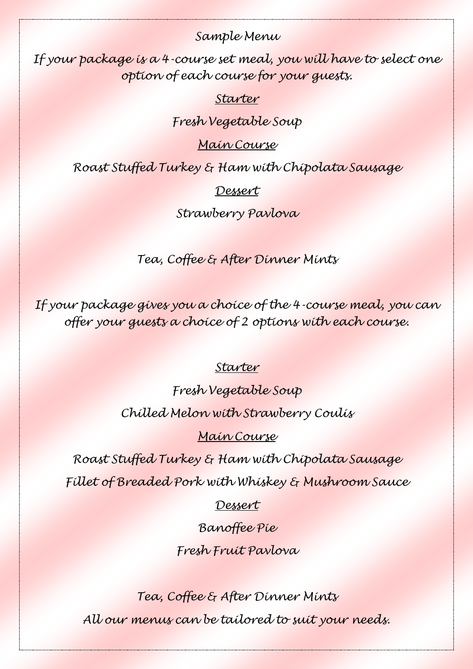#### *Sample Menu*

*If your package is a 4-course set meal, you will have to select one option of each course for your guests.*

#### *Starter*

*Fresh Vegetable Soup*

*Main Course* 

*Roast Stuffed Turkey & Ham with Chipolata Sausage*

*Dessert*

*Strawberry Pavlova* 

*Tea, Coffee & After Dinner Mints*

*If your package gives you a choice of the 4-course meal, you can offer your guests a choice of 2 options with each course.* 

#### *Starter*

*Fresh Vegetable Soup Chilled Melon with Strawberry Coulis*

#### *Main Course*

*Roast Stuffed Turkey & Ham with Chipolata Sausage Fillet of Breaded Pork with Whiskey & Mushroom Sauce*

#### *Dessert*

*Banoffee Pie Fresh Fruit Pavlova* 

*Tea, Coffee & After Dinner Mints All our menus can be tailored to suit your needs.*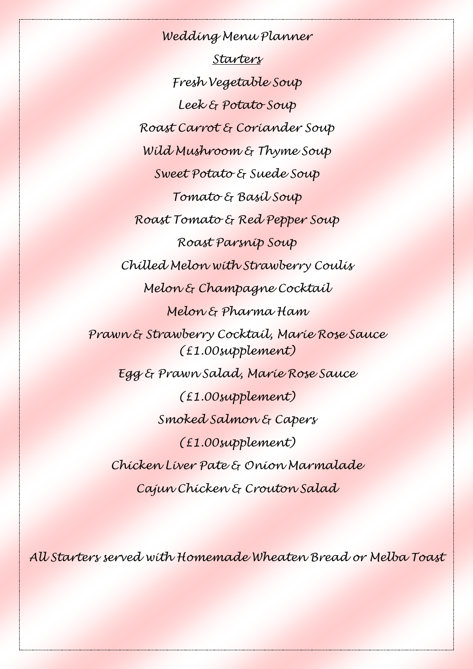*Wedding Menu Planner Starters Fresh Vegetable Soup Leek & Potato Soup Roast Carrot & Coriander Soup Wild Mushroom & Thyme Soup Sweet Potato & Suede Soup Tomato & Basil Soup Roast Tomato & Red Pepper Soup Roast Parsnip Soup Chilled Melon with Strawberry Coulis Melon & Champagne Cocktail Melon & Pharma Ham Prawn & Strawberry Cocktail, Marie Rose Sauce (£1.00supplement) Egg & Prawn Salad, Marie Rose Sauce (£1.00supplement) Smoked Salmon & Capers (£1.00supplement) Chicken Liver Pate & Onion Marmalade Cajun Chicken & Crouton Salad*

*All Starters served with Homemade Wheaten Bread or Melba Toast*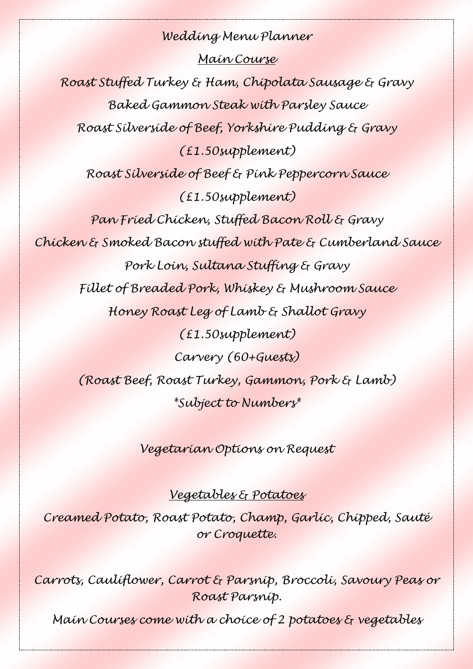# *Wedding Menu Planner*

#### *Main Course*

*Roast Stuffed Turkey & Ham, Chipolata Sausage & Gravy Baked Gammon Steak with Parsley Sauce Roast Silverside of Beef, Yorkshire Pudding & Gravy (£1.50supplement) Roast Silverside of Beef & Pink Peppercorn Sauce (£1.50supplement) Pan Fried Chicken, Stuffed Bacon Roll & Gravy Chicken & Smoked Bacon stuffed with Pate & Cumberland Sauce Pork Loin, Sultana Stuffing & Gravy Fillet of Breaded Pork, Whiskey & Mushroom Sauce Honey Roast Leg of Lamb & Shallot Gravy (£1.50supplement) Carvery (60+Guests) (Roast Beef, Roast Turkey, Gammon, Pork & Lamb) \*Subject to Numbers\**

*Vegetarian Options on Request*

*Vegetables & Potatoes*

*Creamed Potato, Roast Potato, Champ, Garlic, Chipped, Sauté or Croquette.*

*Carrots, Cauliflower, Carrot & Parsnip, Broccoli, Savoury Peas or Roast Parsnip.*

*Main Courses come with a choice of 2 potatoes & vegetables*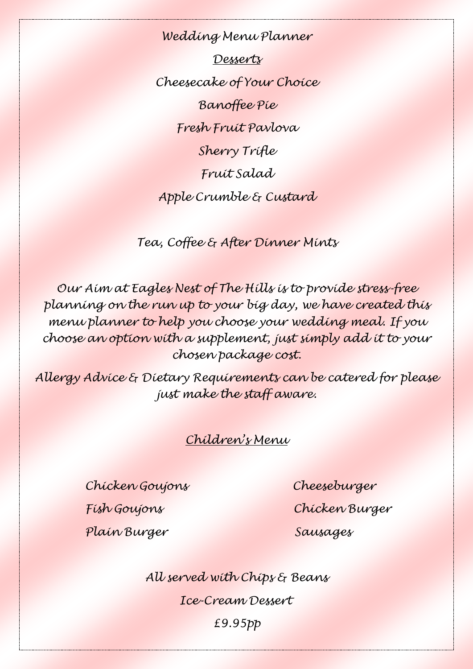*Wedding Menu Planner Desserts Cheesecake of Your Choice Banoffee Pie Fresh Fruit Pavlova Sherry Trifle Fruit Salad Apple Crumble & Custard*

*Tea, Coffee & After Dinner Mints*

*Our Aim at Eagles Nest of The Hills is to provide stress-free planning on the run up to your big day, we have created this menu planner to help you choose your wedding meal. If you choose an option with a supplement, just simply add it to your chosen package cost.*

*Allergy Advice & Dietary Requirements can be catered for please just make the staff aware.*

## *Children's Menu*

 *Chicken Goujons Cheeseburger Fish Goujons Chicken Burger Plain Burger Sausages*

*All served with Chips & Beans Ice-Cream Dessert £9.95pp*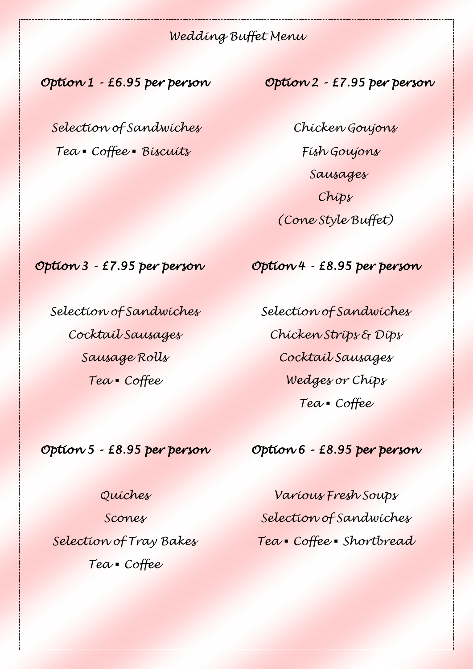## *Wedding Buffet Menu*

 *Option 1 - £6.95 per person Option 2 - £7.95 per person* 

 *Selection of Sandwiches Chicken Goujons Tea* ▪ *Coffee* ▪ *Biscuits Fish Goujons*

 *Sausages Chips Chips (Cone Style Buffet)*

## *Option 3 - £7.95 per person*

*Selection of Sandwiches Cocktail Sausages Sausage Rolls Tea* ▪ *Coffee*

*Option 4 - £8.95 per person* 

*Selection of Sandwiches Chicken Strips & Dips Cocktail Sausages Wedges or Chips Tea* ▪ *Coffee*

*Option 5 - £8.95 per person* 

*Option 6 - £8.95 per person* 

*Quiches Scones Selection of Tray Bakes Tea* ▪ *Coffee* 

*Various Fresh Soups Selection of Sandwiches Tea* ▪ *Coffee* ▪ *Shortbread*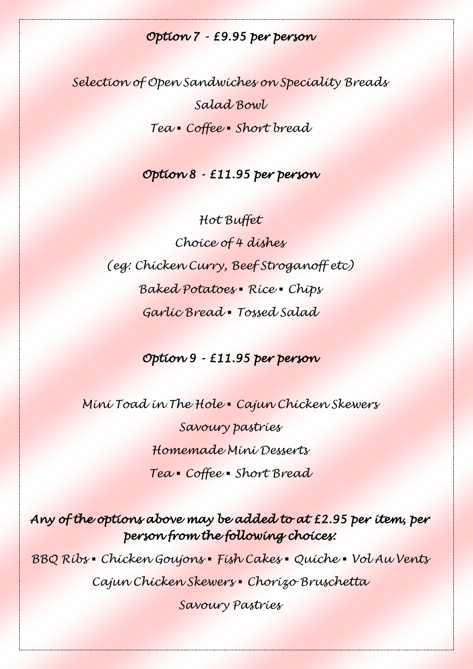#### *Option 7 - £9.95 per person*

*Selection of Open Sandwiches on Speciality Breads Salad Bowl Tea* ▪ *Coffee* ▪ *Short bread*

#### *Option 8 - £11.95 per person*

*Hot Buffet Choice of 4 dishes (eg: Chicken Curry, Beef Stroganoff etc) Baked Potatoes* ▪ *Rice* ▪ *Chips Garlic Bread* ▪ *Tossed Salad* 

*Option 9 - £11.95 per person* 

*Mini Toad in The Hole* ▪ *Cajun Chicken Skewers Savoury pastries Homemade Mini Desserts Tea* ▪ *Coffee* ▪ *Short Bread*

*Any of the options above may be added to at £2.95 per item, per person from the following choices:* 

*BBQ Ribs* ▪ *Chicken Goujons* ▪ *Fish Cakes* ▪ *Quiche* ▪ *Vol Au Vents Cajun Chicken Skewers* ▪ *Chorizo Bruschetta* 

*Savoury Pastries*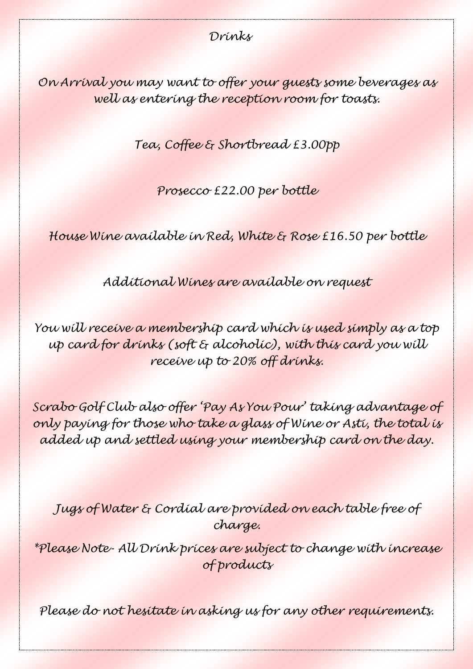## *Drinks*

*On Arrival you may want to offer your guests some beverages as well as entering the reception room for toasts.*

*Tea, Coffee & Shortbread £3.00pp*

*Prosecco £22.00 per bottle*

*House Wine available in Red, White & Rose £16.50 per bottle*

*Additional Wines are available on request*

*You will receive a membership card which is used simply as a top up card for drinks (soft & alcoholic), with this card you will receive up to 20% off drinks.*

*Scrabo Golf Club also offer 'Pay As You Pour' taking advantage of only paying for those who take a glass of Wine or Asti, the total is added up and settled using your membership card on the day.*

*Jugs of Water & Cordial are provided on each table free of charge.*

*\*Please Note- All Drink prices are subject to change with increase of products*

*Please do not hesitate in asking us for any other requirements.*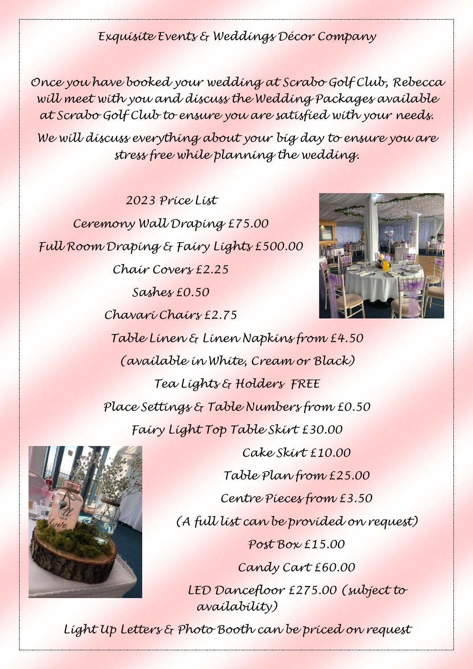# *Exquisite Events & Weddings Décor Company*

*Once you have booked your wedding at Scrabo Golf Club, Rebecca will meet with you and discuss the Wedding Packages available at Scrabo Golf Club to ensure you are satisfied with your needs.*

*We will discuss everything about your big day to ensure you are stress free while planning the wedding.*

*2023 Price List Ceremony Wall Draping £75.00 Full Room Draping & Fairy Lights £500.00 Chair Covers £2.25 Sashes £0.50*

*Chavari Chairs £2.75*



*Table Linen & Linen Napkins from £4.50 (available in White, Cream or Black) Tea Lights & Holders FREE Place Settings & Table Numbers from £0.50 Fairy Light Top Table Skirt £30.00*



*Cake Skirt £10.00 Table Plan from £25.00 Centre Pieces from £3.50 (A full list can be provided on request) Post Box £15.00 Candy Cart £60.00 LED Dancefloor £275.00 (subject to* 

*Light Up Letters & Photo Booth can be priced on request*

*availability)*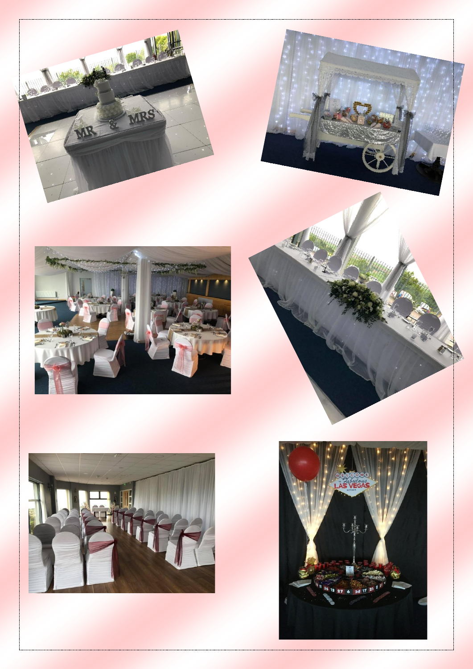







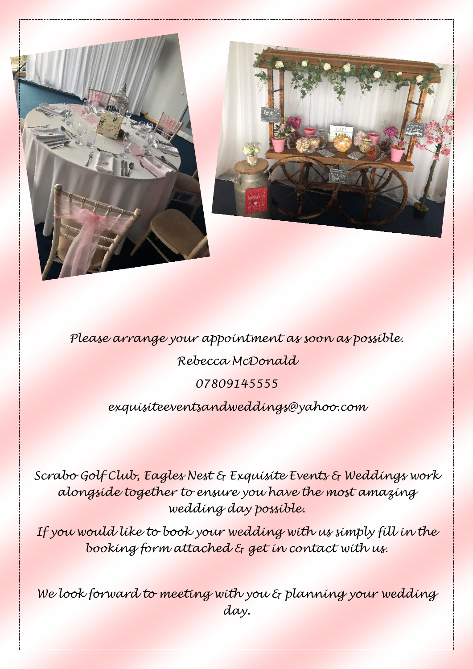



# *Please arrange your appointment as soon as possible. Rebecca McDonald 07809145555 exquisiteeventsandweddings@yahoo.com*

*Scrabo Golf Club, Eagles Nest & Exquisite Events & Weddings work alongside together to ensure you have the most amazing wedding day possible.*

If you would like to book your wedding with us simply fill in the *booking form attached & get in contact with us.*

*We look forward to meeting with you & planning your wedding day.*